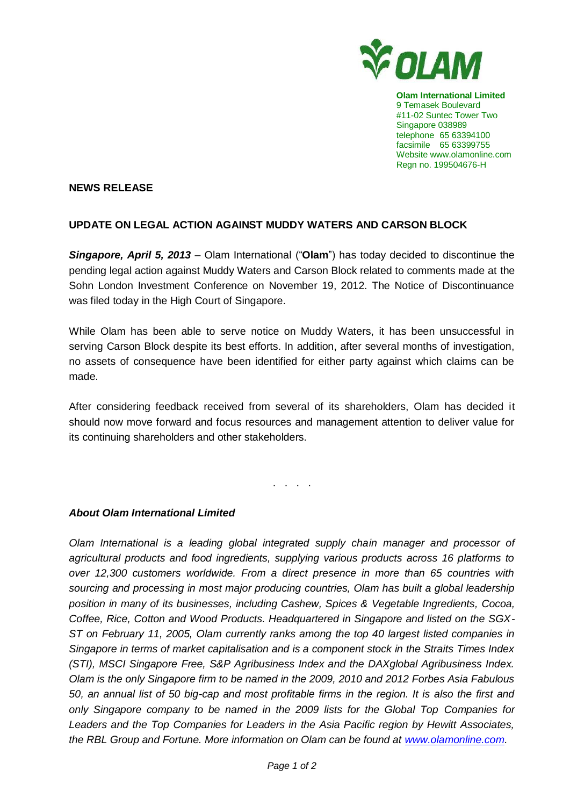

**Olam International Limited** 9 Temasek Boulevard #11-02 Suntec Tower Two Singapore 038989 telephone 65 63394100 facsimile 65 63399755 Website www.olamonline.com Regn no. 199504676-H

## **NEWS RELEASE**

## **UPDATE ON LEGAL ACTION AGAINST MUDDY WATERS AND CARSON BLOCK**

*Singapore, April 5, 2013* – Olam International ("**Olam**") has today decided to discontinue the pending legal action against Muddy Waters and Carson Block related to comments made at the Sohn London Investment Conference on November 19, 2012. The Notice of Discontinuance was filed today in the High Court of Singapore.

While Olam has been able to serve notice on Muddy Waters, it has been unsuccessful in serving Carson Block despite its best efforts. In addition, after several months of investigation, no assets of consequence have been identified for either party against which claims can be made.

After considering feedback received from several of its shareholders, Olam has decided it should now move forward and focus resources and management attention to deliver value for its continuing shareholders and other stakeholders.

. . . .

## *About Olam International Limited*

*Olam International is a leading global integrated supply chain manager and processor of agricultural products and food ingredients, supplying various products across 16 platforms to over 12,300 customers worldwide. From a direct presence in more than 65 countries with sourcing and processing in most major producing countries, Olam has built a global leadership position in many of its businesses, including Cashew, Spices & Vegetable Ingredients, Cocoa, Coffee, Rice, Cotton and Wood Products. Headquartered in Singapore and listed on the SGX-ST on February 11, 2005, Olam currently ranks among the top 40 largest listed companies in Singapore in terms of market capitalisation and is a component stock in the Straits Times Index (STI), MSCI Singapore Free, S&P Agribusiness Index and the DAXglobal Agribusiness Index. Olam is the only Singapore firm to be named in the 2009, 2010 and 2012 Forbes Asia Fabulous 50, an annual list of 50 big-cap and most profitable firms in the region. It is also the first and only Singapore company to be named in the 2009 lists for the Global Top Companies for Leaders and the Top Companies for Leaders in the Asia Pacific region by Hewitt Associates, the RBL Group and Fortune. More information on Olam can be found at [www.olamonline.com.](http://www.olamonline.com/)*